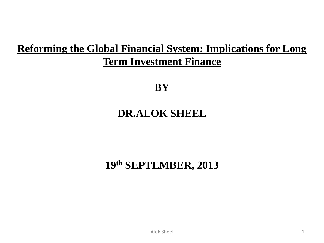### **Reforming the Global Financial System: Implications for Long Term Investment Finance**

**BY**

### **DR.ALOK SHEEL**

### **19th SEPTEMBER, 2013**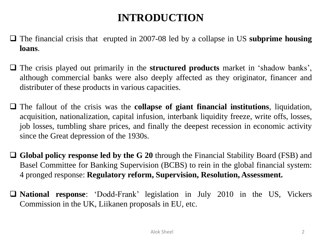### **INTRODUCTION**

- The financial crisis that erupted in 2007-08 led by a collapse in US **subprime housing loans**.
- The crisis played out primarily in the **structured products** market in 'shadow banks', although commercial banks were also deeply affected as they originator, financer and distributer of these products in various capacities.
- The fallout of the crisis was the **collapse of giant financial institutions**, liquidation, acquisition, nationalization, capital infusion, interbank liquidity freeze, write offs, losses, job losses, tumbling share prices, and finally the deepest recession in economic activity since the Great depression of the 1930s.
- **Global policy response led by the G 20** through the Financial Stability Board (FSB) and Basel Committee for Banking Supervision (BCBS) to rein in the global financial system: 4 pronged response: **Regulatory reform, Supervision, Resolution, Assessment.**
- **National response**: 'Dodd-Frank' legislation in July 2010 in the US, Vickers Commission in the UK, Liikanen proposals in EU, etc.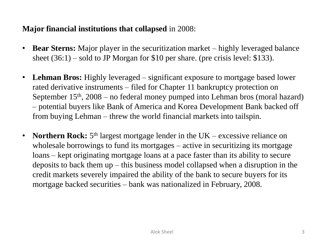#### **Major financial institutions that collapsed** in 2008:

- **Bear Sterns:** Major player in the securitization market highly leveraged balance sheet  $(36:1)$  – sold to JP Morgan for \$10 per share. (pre crisis level: \$133).
- Lehman Bros: Highly leveraged significant exposure to mortgage based lower rated derivative instruments – filed for Chapter 11 bankruptcy protection on September  $15<sup>th</sup>$ , 2008 – no federal money pumped into Lehman bros (moral hazard) – potential buyers like Bank of America and Korea Development Bank backed off from buying Lehman – threw the world financial markets into tailspin.
- **Northern Rock:** 5<sup>th</sup> largest mortgage lender in the UK excessive reliance on wholesale borrowings to fund its mortgages – active in securitizing its mortgage loans – kept originating mortgage loans at a pace faster than its ability to secure deposits to back them up – this business model collapsed when a disruption in the credit markets severely impaired the ability of the bank to secure buyers for its mortgage backed securities – bank was nationalized in February, 2008.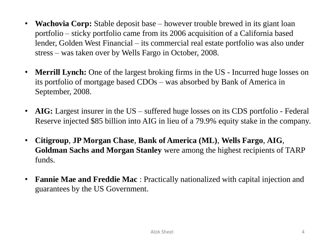- **Wachovia Corp:** Stable deposit base however trouble brewed in its giant loan portfolio – sticky portfolio came from its 2006 acquisition of a California based lender, Golden West Financial – its commercial real estate portfolio was also under stress – was taken over by Wells Fargo in October, 2008.
- **Merrill Lynch:** One of the largest broking firms in the US Incurred huge losses on its portfolio of mortgage based CDOs – was absorbed by Bank of America in September, 2008.
- **AIG:** Largest insurer in the US suffered huge losses on its CDS portfolio Federal Reserve injected \$85 billion into AIG in lieu of a 79.9% equity stake in the company.
- **Citigroup**, **JP Morgan Chase**, **Bank of America (ML)**, **Wells Fargo**, **AIG**, **Goldman Sachs and Morgan Stanley** were among the highest recipients of TARP funds.
- **Fannie Mae and Freddie Mac** : Practically nationalized with capital injection and guarantees by the US Government.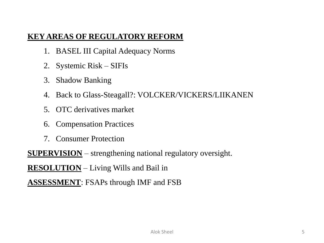#### **KEY AREAS OF REGULATORY REFORM**

- 1. BASEL III Capital Adequacy Norms
- 2. Systemic Risk SIFIs
- 3. Shadow Banking
- 4. Back to Glass-Steagall?: VOLCKER/VICKERS/LIIKANEN
- 5. OTC derivatives market
- 6. Compensation Practices
- 7. Consumer Protection

**SUPERVISION** – strengthening national regulatory oversight.

**RESOLUTION** – Living Wills and Bail in

**ASSESSMENT**: FSAPs through IMF and FSB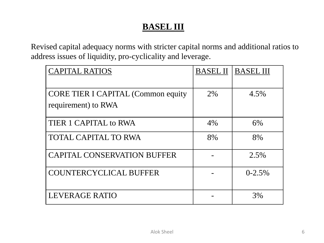### **BASEL III**

Revised capital adequacy norms with stricter capital norms and additional ratios to address issues of liquidity, pro-cyclicality and leverage.

| <b>CAPITAL RATIOS</b>                                             | <b>BASEL II</b> | <b>BASEL III</b> |
|-------------------------------------------------------------------|-----------------|------------------|
| <b>CORE TIER I CAPITAL (Common equity)</b><br>requirement) to RWA | 2%              | 4.5%             |
| TIER 1 CAPITAL to RWA                                             | 4%              | 6%               |
| <b>TOTAL CAPITAL TO RWA</b>                                       | 8%              | 8%               |
| <b>CAPITAL CONSERVATION BUFFER</b>                                |                 | 2.5%             |
| <b>COUNTERCYCLICAL BUFFER</b>                                     |                 | $0 - 2.5%$       |
| LEVERAGE RATIO                                                    |                 | 3%               |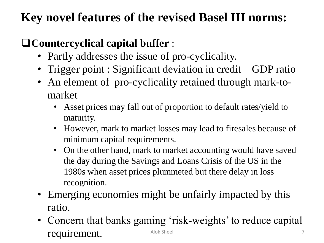### **Key novel features of the revised Basel III norms:**

### **Countercyclical capital buffer** :

- Partly addresses the issue of pro-cyclicality.
- Trigger point : Significant deviation in credit GDP ratio
- An element of pro-cyclicality retained through mark-tomarket
	- Asset prices may fall out of proportion to default rates/yield to maturity.
	- However, mark to market losses may lead to firesales because of minimum capital requirements.
	- On the other hand, mark to market accounting would have saved the day during the Savings and Loans Crisis of the US in the 1980s when asset prices plummeted but there delay in loss recognition.
- Emerging economies might be unfairly impacted by this ratio.
- Concern that banks gaming 'risk-weights' to reduce capital requirement. Alok Sheel 7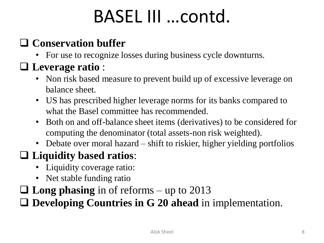## BASEL III …contd.

### **Conservation buffer**

• For use to recognize losses during business cycle downturns.

### **Leverage ratio** :

- Non risk based measure to prevent build up of excessive leverage on balance sheet.
- US has prescribed higher leverage norms for its banks compared to what the Basel committee has recommended.
- Both on and off-balance sheet items (derivatives) to be considered for computing the denominator (total assets-non risk weighted).
- Debate over moral hazard shift to riskier, higher yielding portfolios

### **Liquidity based ratios**:

- Liquidity coverage ratio:
- Net stable funding ratio
- **Long phasing** in of reforms up to 2013

**Developing Countries in G 20 ahead** in implementation.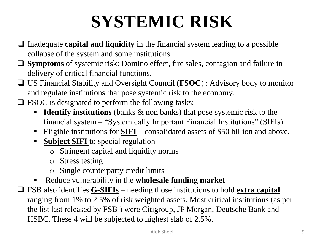# **SYSTEMIC RISK**

- Inadequate **capital and liquidity** in the financial system leading to a possible collapse of the system and some institutions.
- **Symptoms** of systemic risk: Domino effect, fire sales, contagion and failure in delivery of critical financial functions.
- US Financial Stability and Oversight Council (**FSOC**) : Advisory body to monitor and regulate institutions that pose systemic risk to the economy.
- $\Box$  FSOC is designated to perform the following tasks:
	- **Identify institutions** (banks & non banks) that pose systemic risk to the financial system – "Systemically Important Financial Institutions" (SIFIs).
	- Eligible institutions for **SIFI** consolidated assets of \$50 billion and above.
	- **Subject SIFI** to special regulation
		- o Stringent capital and liquidity norms
		- o Stress testing
		- o Single counterparty credit limits
	- Reduce vulnerability in the **wholesale funding market**
- FSB also identifies **G-SIFIs** needing those institutions to hold **extra capital**  ranging from 1% to 2.5% of risk weighted assets. Most critical institutions (as per the list last released by FSB ) were Citigroup, JP Morgan, Deutsche Bank and HSBC. These 4 will be subjected to highest slab of 2.5%.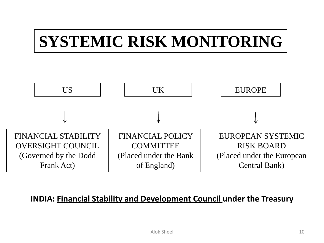## **SYSTEMIC RISK MONITORING**



#### **INDIA: Financial Stability and Development Council under the Treasury**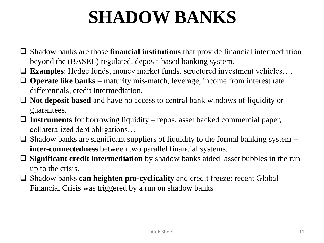## **SHADOW BANKS**

- Shadow banks are those **financial institutions** that provide financial intermediation beyond the (BASEL) regulated, deposit-based banking system.
- **Examples**: Hedge funds, money market funds, structured investment vehicles….
- **Operate like banks** maturity mis-match, leverage, income from interest rate differentials, credit intermediation.
- **Not deposit based** and have no access to central bank windows of liquidity or guarantees.
- **Instruments** for borrowing liquidity repos, asset backed commercial paper, collateralized debt obligations…
- $\Box$  Shadow banks are significant suppliers of liquidity to the formal banking system  $\Box$ **inter-connectedness** between two parallel financial systems.
- **Significant credit intermediation** by shadow banks aided asset bubbles in the run up to the crisis.
- Shadow banks **can heighten pro-cyclicality** and credit freeze: recent Global Financial Crisis was triggered by a run on shadow banks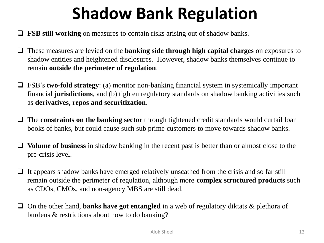## **Shadow Bank Regulation**

- **FSB still working** on measures to contain risks arising out of shadow banks.
- These measures are levied on the **banking side through high capital charges** on exposures to shadow entities and heightened disclosures. However, shadow banks themselves continue to remain **outside the perimeter of regulation**.
- FSB's **two-fold strategy**: (a) monitor non-banking financial system in systemically important financial **jurisdictions**, and (b) tighten regulatory standards on shadow banking activities such as **derivatives, repos and securitization**.
- The **constraints on the banking sector** through tightened credit standards would curtail loan books of banks, but could cause such sub prime customers to move towards shadow banks.
- **Volume of business** in shadow banking in the recent past is better than or almost close to the pre-crisis level.
- $\Box$  It appears shadow banks have emerged relatively unscathed from the crisis and so far still remain outside the perimeter of regulation, although more **complex structured products** such as CDOs, CMOs, and non-agency MBS are still dead.
- □ On the other hand, **banks have got entangled** in a web of regulatory diktats & plethora of burdens & restrictions about how to do banking?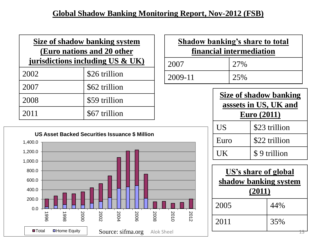#### **Global Shadow Banking Monitoring Report, Nov-2012 (FSB)**

| Size of shadow banking system<br>(Euro nations and 20 other<br>jurisdictions including US $\&$ UK) |               |  |
|----------------------------------------------------------------------------------------------------|---------------|--|
| 2002                                                                                               | \$26 trillion |  |
| 2007                                                                                               | \$62 trillion |  |
| 2008                                                                                               | \$59 trillion |  |
| 2011                                                                                               | \$67 trillion |  |



| <b>Shadow banking's share to total</b> |     |  |
|----------------------------------------|-----|--|
| financial intermediation               |     |  |
| 2007                                   | 27% |  |
| 2009-11                                | 25% |  |

| Size of shadow banking<br>asssets in US, UK and<br><b>Euro</b> (2011) |               |  |
|-----------------------------------------------------------------------|---------------|--|
| <b>US</b>                                                             | \$23 trillion |  |
| Euro                                                                  | \$22 trillion |  |
| UK.                                                                   | \$9 trillion  |  |

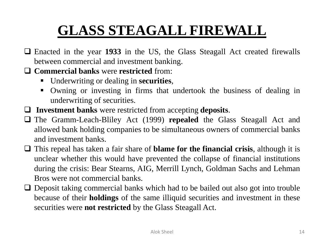### **GLASS STEAGALL FIREWALL**

- Enacted in the year **1933** in the US, the Glass Steagall Act created firewalls between commercial and investment banking.
- **Commercial banks** were **restricted** from:
	- Underwriting or dealing in **securities**,
	- Owning or investing in firms that undertook the business of dealing in underwriting of securities.
- **Investment banks** were restricted from accepting **deposits**.
- The Gramm-Leach-Bliley Act (1999) **repealed** the Glass Steagall Act and allowed bank holding companies to be simultaneous owners of commercial banks and investment banks.
- This repeal has taken a fair share of **blame for the financial crisis**, although it is unclear whether this would have prevented the collapse of financial institutions during the crisis: Bear Stearns, AIG, Merrill Lynch, Goldman Sachs and Lehman Bros were not commercial banks.
- $\Box$  Deposit taking commercial banks which had to be bailed out also got into trouble because of their **holdings** of the same illiquid securities and investment in these securities were **not restricted** by the Glass Steagall Act.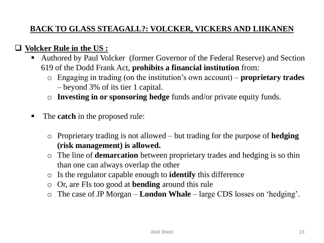### **BACK TO GLASS STEAGALL?: VOLCKER, VICKERS AND LIIKANEN**

#### **Volcker Rule in the US :**

- Authored by Paul Volcker (former Governor of the Federal Reserve) and Section 619 of the Dodd Frank Act, **prohibits a financial institution** from:
	- o Engaging in trading (on the institution's own account) **proprietary trades** – beyond 3% of its tier 1 capital.
	- o **Investing in or sponsoring hedge** funds and/or private equity funds.
- The **catch** in the proposed rule:
	- o Proprietary trading is not allowed but trading for the purpose of **hedging (risk management) is allowed.**
	- o The line of **demarcation** between proprietary trades and hedging is so thin than one can always overlap the other
	- o Is the regulator capable enough to **identify** this difference
	- o Or, are FIs too good at **bending** around this rule
	- o The case of JP Morgan **London Whale** large CDS losses on 'hedging'.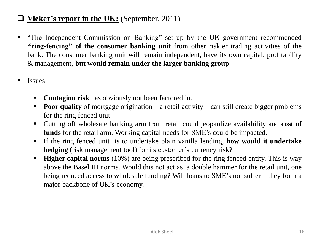#### **Vicker's report in the UK:** (September, 2011)

- "The Independent Commission on Banking" set up by the UK government recommended **"ring-fencing" of the consumer banking unit** from other riskier trading activities of the bank. The consumer banking unit will remain independent, have its own capital, profitability & management, **but would remain under the larger banking group**.
- **Issues:** 
	- **Contagion risk** has obviously not been factored in.
	- **Poor quality** of mortgage origination a retail activity can still create bigger problems for the ring fenced unit.
	- Cutting off wholesale banking arm from retail could jeopardize availability and **cost of funds** for the retail arm. Working capital needs for SME's could be impacted.
	- If the ring fenced unit is to undertake plain vanilla lending, **how would it undertake hedging** (risk management tool) for its customer's currency risk?
	- **Higher capital norms** (10%) are being prescribed for the ring fenced entity. This is way above the Basel III norms. Would this not act as a double hammer for the retail unit, one being reduced access to wholesale funding? Will loans to SME's not suffer – they form a major backbone of UK's economy.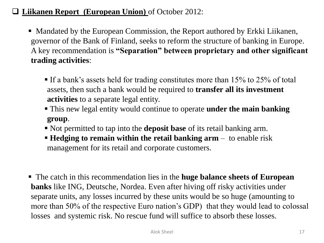#### **Liikanen Report (European Union)** of October 2012:

- Mandated by the European Commission, the Report authored by Erkki Liikanen, governor of the Bank of Finland, seeks to reform the structure of banking in Europe. A key recommendation is **"Separation" between proprietary and other significant trading activities**:
	- If a bank's assets held for trading constitutes more than 15% to 25% of total assets, then such a bank would be required to **transfer all its investment activities** to a separate legal entity.
	- This new legal entity would continue to operate **under the main banking group**.
	- Not permitted to tap into the **deposit base** of its retail banking arm.
	- **Hedging to remain within the retail banking arm** to enable risk management for its retail and corporate customers.
- The catch in this recommendation lies in the **huge balance sheets of European banks** like ING, Deutsche, Nordea. Even after hiving off risky activities under separate units, any losses incurred by these units would be so huge (amounting to more than 50% of the respective Euro nation's GDP) that they would lead to colossal losses and systemic risk. No rescue fund will suffice to absorb these losses.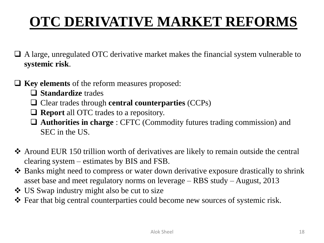### **OTC DERIVATIVE MARKET REFORMS**

- A large, unregulated OTC derivative market makes the financial system vulnerable to **systemic risk**.
- **Key elements** of the reform measures proposed:
	- **Standardize** trades
	- Clear trades through **central counterparties** (CCPs)
	- **Report** all OTC trades to a repository.
	- **Authorities in charge** : CFTC (Commodity futures trading commission) and SEC in the US.
- Around EUR 150 trillion worth of derivatives are likely to remain outside the central clearing system – estimates by BIS and FSB.
- Banks might need to compress or water down derivative exposure drastically to shrink asset base and meet regulatory norms on leverage – RBS study – August, 2013
- US Swap industry might also be cut to size
- Fear that big central counterparties could become new sources of systemic risk.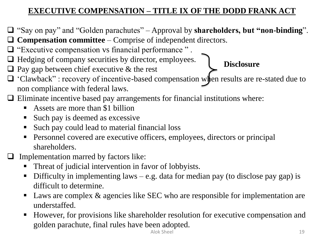### **EXECUTIVE COMPENSATION – TITLE IX OF THE DODD FRANK ACT**

- "Say on pay" and "Golden parachutes" Approval by **shareholders, but "non-binding**".
- **Compensation committee** Comprise of independent directors.
- $\Box$  "Executive compensation vs financial performance".
- $\Box$  Hedging of company securities by director, employees.
- $\Box$  Pay gap between chief executive & the rest

### **Disclosure**

- 'Clawback" : recovery of incentive-based compensation when results are re-stated due to non compliance with federal laws.
- $\Box$  Eliminate incentive based pay arrangements for financial institutions where:
	- Assets are more than \$1 billion
	- Such pay is deemed as excessive
	- Such pay could lead to material financial loss
	- Personnel covered are executive officers, employees, directors or principal shareholders.
- $\Box$  Implementation marred by factors like:
	- Threat of judicial intervention in favor of lobbyists.
	- Difficulty in implementing laws e.g. data for median pay (to disclose pay gap) is difficult to determine.
	- Laws are complex & agencies like SEC who are responsible for implementation are understaffed.
	- However, for provisions like shareholder resolution for executive compensation and golden parachute, final rules have been adopted.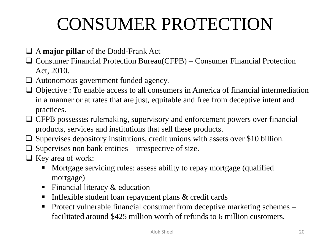## CONSUMER PROTECTION

### A **major pillar** of the Dodd-Frank Act

- Consumer Financial Protection Bureau(CFPB) Consumer Financial Protection Act, 2010.
- Autonomous government funded agency.
- $\Box$  Objective : To enable access to all consumers in America of financial intermediation in a manner or at rates that are just, equitable and free from deceptive intent and practices.
- CFPB possesses rulemaking, supervisory and enforcement powers over financial products, services and institutions that sell these products.
- $\Box$  Supervises depository institutions, credit unions with assets over \$10 billion.
- $\Box$  Supervises non bank entities irrespective of size.
- $\Box$  Key area of work:
	- Mortgage servicing rules: assess ability to repay mortgage (qualified mortgage)
	- Financial literacy  $&$  education
	- Inflexible student loan repayment plans  $&$  credit cards
	- Protect vulnerable financial consumer from deceptive marketing schemes facilitated around \$425 million worth of refunds to 6 million customers.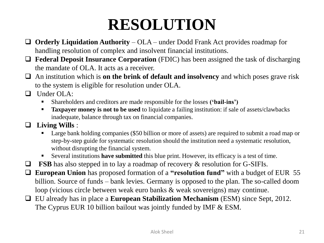### **RESOLUTION**

- **Orderly Liquidation Authority**  OLA under Dodd Frank Act provides roadmap for handling resolution of complex and insolvent financial institutions.
- □ **Federal Deposit Insurance Corporation** (FDIC) has been assigned the task of discharging the mandate of OLA. It acts as a receiver.
- An institution which is **on the brink of default and insolvency** and which poses grave risk to the system is eligible for resolution under OLA.
- $\Box$  Under OLA:
	- Shareholders and creditors are made responsible for the losses **('bail-ins')**
	- **Taxpayer money is not to be used** to liquidate a failing institution: if sale of assets/clawbacks inadequate, balance through tax on financial companies.
- **Living Wills** :
	- Large bank holding companies (\$50 billion or more of assets) are required to submit a road map or step-by-step guide for systematic resolution should the institution need a systematic resolution, without disrupting the financial system.
	- Several institutions **have submitted** this blue print. However, its efficacy is a test of time.
- **FSB** has also stepped in to lay a roadmap of recovery  $\&$  resolution for G-SIFIs.
- **European Union** has proposed formation of a **"resolution fund"** with a budget of EUR 55 billion. Source of funds – bank levies. Germany is opposed to the plan. The so-called doom loop (vicious circle between weak euro banks & weak sovereigns) may continue.
- EU already has in place a **European Stabilization Mechanism** (ESM) since Sept, 2012. The Cyprus EUR 10 billion bailout was jointly funded by IMF & ESM.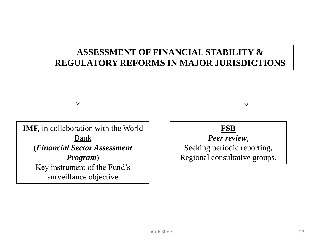### **ASSESSMENT OF FINANCIAL STABILITY & REGULATORY REFORMS IN MAJOR JURISDICTIONS**

**IMF,** in collaboration with the World Bank (*Financial Sector Assessment Program*) Key instrument of the Fund's surveillance objective

### **FSB**

*Peer review*,

Seeking periodic reporting, Regional consultative groups.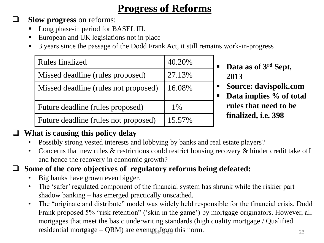### **Progress of Reforms**

**Slow progress** on reforms:

- Long phase-in period for BASEL III.
- European and UK legislations not in place
- 3 years since the passage of the Dodd Frank Act, it still remains work-in-progress

| <b>Rules finalized</b>               | 40.20% |
|--------------------------------------|--------|
| Missed deadline (rules proposed)     | 27.13% |
| Missed deadline (rules not proposed) | 16.08% |
| Future deadline (rules proposed)     | 1%     |
| Future deadline (rules not proposed) | 15.57% |

- **Data as of 3rd Sept, 2013**
- **Source: davispolk.com**
- **Data implies % of total rules that need to be finalized, i.e. 398**

### **What is causing this policy delay**

- Possibly strong vested interests and lobbying by banks and real estate players?
- Concerns that new rules & restrictions could restrict housing recovery & hinder credit take off and hence the recovery in economic growth?

### **Some of the core objectives of regulatory reforms being defeated:**

- Big banks have grown even bigger.
- The 'safer' regulated component of the financial system has shrunk while the riskier part shadow banking – has emerged practically unscathed.
- The "originate and distribute" model was widely held responsible for the financial crisis. Dodd Frank proposed 5% "risk retention" ('skin in the game') by mortgage originators. However, all mortgages that meet the basic underwriting standards (high quality mortgage / Qualified residential mortgage  $-QRM$ ) are exempt from this norm.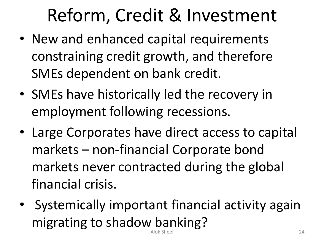# Reform, Credit & Investment

- New and enhanced capital requirements constraining credit growth, and therefore SMEs dependent on bank credit.
- SMEs have historically led the recovery in employment following recessions.
- Large Corporates have direct access to capital markets – non-financial Corporate bond markets never contracted during the global financial crisis.
- Systemically important financial activity again migrating to shadow banking? Alok Sheel 24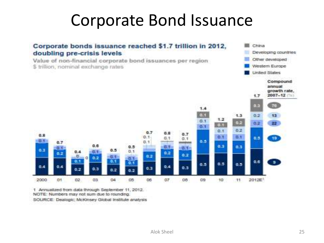### Corporate Bond Issuance



1 Annualized from data through September 11, 2012. NOTE: Numbers may not sum due to rounding. SOURCE: Dealogic; McKinsey Global Institute analysis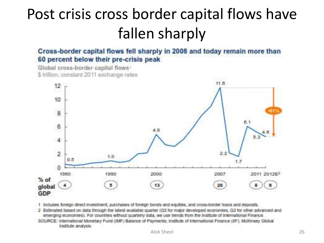### Post crisis cross border capital flows have fallen sharply

Cross-border capital flows fell sharply in 2008 and today remain more than 60 percent below their pre-crisis peak

Global cross-border capital flows \$ trillion, constant 2011 exchange rates



1 Includes foreign direct investment, purchases of foreign bonds and equities, and cross-border loans and deposits.

2. Estimated based on data through the latest available quarter (Q3 for major developed economies, Q2 for other advanced and emerging economies). For countries without quarterly data, we use trends from the Institute of International Finance.

SOURCE: International Monetary Fund (IMF) Balance of Payments; Institute of International Finance (IIF); McKinsey Global Institute analysis Alok Sheel 26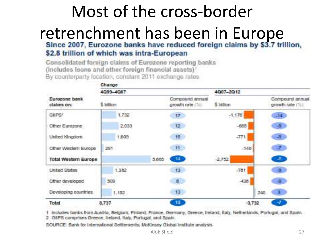### Most of the cross-border retrenchment has been in Europe<br>Since 2007, Eurozone banks have reduced foreign claims by \$3.7 trillion, \$2.8 trillion of which was intra-European

Consolidated foreign claims of Eurozone reporting banks (includes loans and other foreign financial assets)' By counterparty location, constant 2011 exchange rates



1 Includes banks from Austria, Belgium, Finland, France, Germany, Greece, Ireland, Italy, Netherlands, Portugal, and Spain. : 2 GIPS comprises Greece, Ireland, Italy, Portugal, and Spain.

SOURCE: Bank for International Settlements; McKinsey Global Institute analysis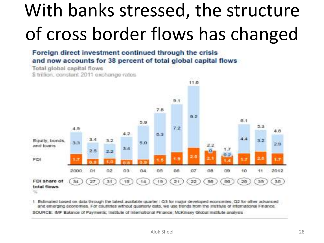# With banks stressed, the structure of cross border flows has changed

Foreign direct investment continued through the crisis and now accounts for 38 percent of total global capital flows

Total global capital flows \$ trillion, constant 2011 exchange rates



1. Estimated based on data through the latest available quarter : Q3 for major developed economies, Q2 for other advanced and emerging economies. For countries without quarterly data, we use trends from the Institute of International Finance. SOURCE: IMF Balance of Payments; Institute of International Finance; McKinsey Global Institute analysis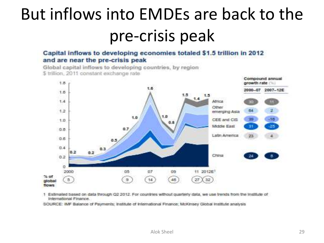# But inflows into EMDEs are back to the pre-crisis peak

#### Capital inflows to developing economies totaled \$1.5 trillion in 2012 and are near the pre-crisis peak

Global capital inflows to developing countries, by region \$ trillion, 2011 constant exchange rate



1 Estimated based on data through Q2 2012. For countries without quarterly data, we use trends from the institute of International Finance.

SOURCE: IMF Balance of Payments; Institute of International Finance; McKinsey Global Institute analysis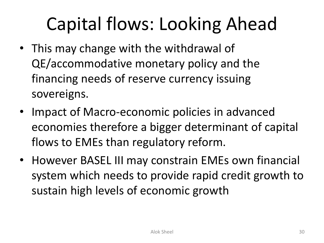# Capital flows: Looking Ahead

- This may change with the withdrawal of QE/accommodative monetary policy and the financing needs of reserve currency issuing sovereigns.
- Impact of Macro-economic policies in advanced economies therefore a bigger determinant of capital flows to EMEs than regulatory reform.
- However BASEL III may constrain EMEs own financial system which needs to provide rapid credit growth to sustain high levels of economic growth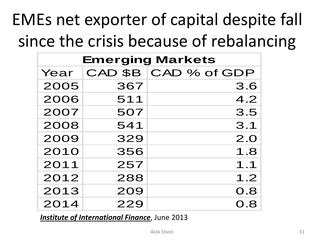# EMEs net exporter of capital despite fall since the crisis because of rebalancing

| <b>Emerging Markets</b> |     |                      |
|-------------------------|-----|----------------------|
| Year                    |     | CAD \$B CAD % of GDP |
| 2005                    | 367 | 3.6                  |
| 2006                    | 511 | 4.2                  |
| 2007                    | 507 | 3.5                  |
| 2008                    | 541 | 3.1                  |
| 2009                    | 329 | 2.0                  |
| 2010                    | 356 | 1.8                  |
| 2011                    | 257 | 1.1                  |
| 2012                    | 288 | 1.2                  |
| 2013                    | 209 | 0.8                  |
| 2014                    | 229 | 0.8                  |

*Institute of International Finance*, June 2013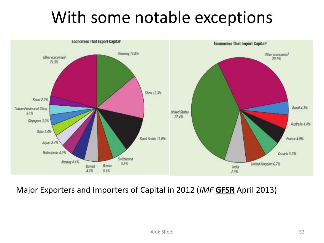### With some notable exceptions



Major Exporters and Importers of Capital in 2012 (*IMF* **GFSR** April 2013)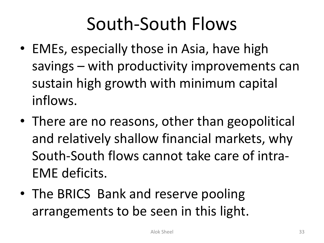# South-South Flows

- EMEs, especially those in Asia, have high savings – with productivity improvements can sustain high growth with minimum capital inflows.
- There are no reasons, other than geopolitical and relatively shallow financial markets, why South-South flows cannot take care of intra-EME deficits.
- The BRICS Bank and reserve pooling arrangements to be seen in this light.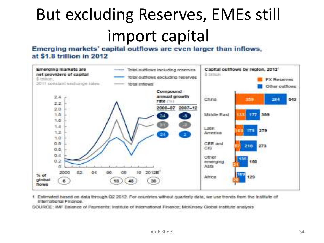# But excluding Reserves, EMEs still import capital<br>Emerging markets' capital outflows are even larger than inflows.

### at \$1.8 trillion in 2012



1 Estimated based on data through Q2 2012. For countries without guarterly data, we use trends from the institute of International Finance.

SOURCE: IMF Balance of Payments; Institute of International Finance; McKinsey Global Institute analysis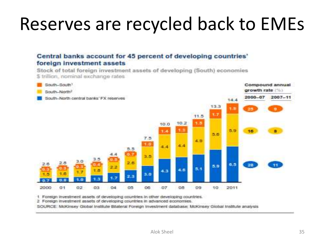# Reserves are recycled back to EMEs

#### Central banks account for 45 percent of developing countries' foreign investment assets

Stock of total foreign investment assets of developing (South) economies \$ trillion, nominal exchange rates



1 Foreign investment assets of developing countries in other developing countries.

2 Foreign investment assets of developing countries in advanced economies.

SOURCE: McKinsey Global Institute Blateral Foreign Investment database; McKinsey Global Institute analysis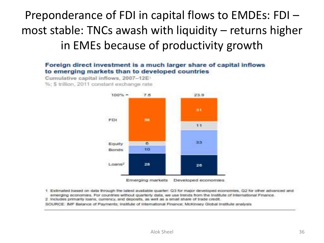### Preponderance of FDI in capital flows to EMDEs: FDI – most stable: TNCs awash with liquidity – returns higher in EMEs because of productivity growth

#### Foreign direct investment is a much larger share of capital inflows to emerging markets than to developed countries

Cumulative capital inflows, 2007-12E

%: \$ trillion, 2011 constant exchange rate



Emerging markets Developed economies

1 Estimated based on data through the latest available quarter: Q3 for major developed economies, Q2 for other advanced and emerging economies. For countries without quarterly data, we use trends from the Institute of International Finance.

2 includes primarily loans, currency, and deposits, as well as a small share of trade credit.

SOURCE: MF Balance of Payments: Institute of International Finance: McKinsey Global Institute analysis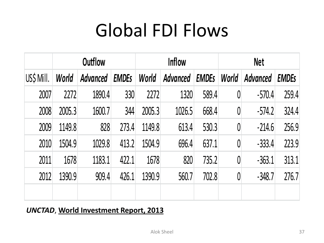# Global FDI Flows

|            |        | <b>Outflow</b> |              |        | <b>Inflow</b> |              |          | <b>Net</b>      |              |
|------------|--------|----------------|--------------|--------|---------------|--------------|----------|-----------------|--------------|
| US\$ Mill. | World  | Advanced       | <b>EMDES</b> | World  | Advanced      | <b>EMDES</b> | World    | <b>Advanced</b> | <b>EMDES</b> |
| 2007       | 2272   | 1890.4         | 330          | 2272   | 1320          | 589.4        | $\theta$ | $-570.4$        | 259.4        |
| 2008       | 2005.3 | 1600.7         | 344          | 2005.3 | 1026.5        | 668.4        | $\theta$ | $-574.2$        | 324.4        |
| 2009       | 1149.8 | 828            | 273.4        | 1149.8 | 613.4         | 530.3        | $\theta$ | $-214.6$        | 256.9        |
| 2010       | 1504.9 | 1029.8         | 413.2        | 1504.9 | 696.4         | 637.1        | $\theta$ | $-333.4$        | 223.9        |
| 2011       | 1678   | 1183.1         | 422.1        | 1678   | 820           | 735.2        | $\theta$ | $-363.1$        | 313.1        |
| 2012       | 1390.9 | 909.4          | 426.1        | 1390.9 | 560.7         | 702.8        | $\theta$ | $-348.7$        | 276.7        |
|            |        |                |              |        |               |              |          |                 |              |

#### *UNCTAD*, **World Investment Report, 2013**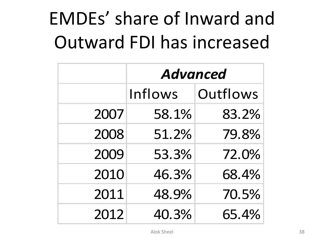# EMDEs' share of Inward and Outward FDI has increased

|      | <b>Advanced</b> |          |
|------|-----------------|----------|
|      | Inflows         | Outflows |
| 2007 | 58.1%           | 83.2%    |
| 2008 | 51.2%           | 79.8%    |
| 2009 | 53.3%           | 72.0%    |
| 2010 | 46.3%           | 68.4%    |
| 2011 | 48.9%           | 70.5%    |
| 2012 | 40.3%           | 65.4%    |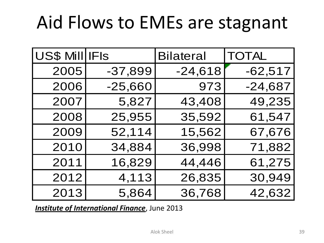# Aid Flows to EMEs are stagnant

| <b>US\$ Mill IFIS</b> |           | <b>Bilateral</b> | <b>TOTAL</b> |
|-----------------------|-----------|------------------|--------------|
| 2005                  | $-37,899$ | $-24,618$        | $-62,517$    |
| 2006                  | $-25,660$ | 973              | $-24,687$    |
| 2007                  | 5,827     | 43,408           | 49,235       |
| 2008                  | 25,955    | 35,592           | 61,547       |
| 2009                  | 52,114    | 15,562           | 67,676       |
| 2010                  | 34,884    | 36,998           | 71,882       |
| 2011                  | 16,829    | 44,446           | 61,275       |
| 2012                  | 4,113     | 26,835           | 30,949       |
| 2013                  | 5,864     | 36,768           | 42,632       |

*Institute of International Finance*, June 2013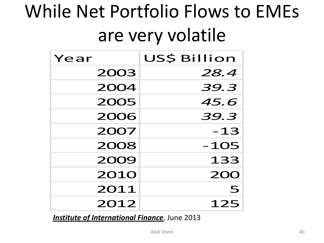# While Net Portfolio Flows to EMEs are very volatile

| Year | US\$ Billion |
|------|--------------|
| 2003 | 28.4         |
| 2004 | 39.3         |
| 2005 | 45.6         |
| 2006 | 39.3         |
| 2007 | $-13$        |
| 2008 | $-105$       |
| 2009 | 133          |
| 2010 | <b>200</b>   |
| 2011 | 5            |
| 2012 | 125          |

*Institute of International Finance*, June 2013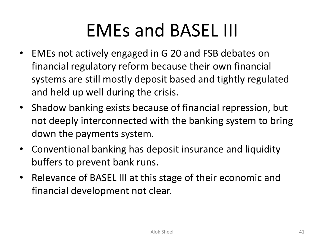# EMEs and BASEL III

- EMEs not actively engaged in G 20 and FSB debates on financial regulatory reform because their own financial systems are still mostly deposit based and tightly regulated and held up well during the crisis.
- Shadow banking exists because of financial repression, but not deeply interconnected with the banking system to bring down the payments system.
- Conventional banking has deposit insurance and liquidity buffers to prevent bank runs.
- Relevance of BASEL III at this stage of their economic and financial development not clear.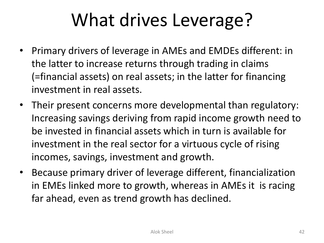# What drives Leverage?

- Primary drivers of leverage in AMEs and EMDEs different: in the latter to increase returns through trading in claims (=financial assets) on real assets; in the latter for financing investment in real assets.
- Their present concerns more developmental than regulatory: Increasing savings deriving from rapid income growth need to be invested in financial assets which in turn is available for investment in the real sector for a virtuous cycle of rising incomes, savings, investment and growth.
- Because primary driver of leverage different, financialization in EMEs linked more to growth, whereas in AMEs it is racing far ahead, even as trend growth has declined.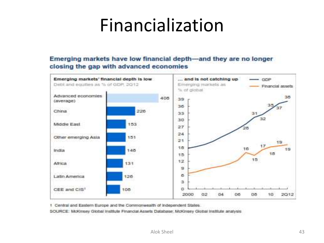## Financialization

#### Emerging markets have low financial depth—and they are no longer closing the gap with advanced economies



1 Central and Eastern Europe and the Commonwealth of Independent States.

SOURCE: McKinsey Global Institute Financial Assets Database: McKinsey Global Institute analysis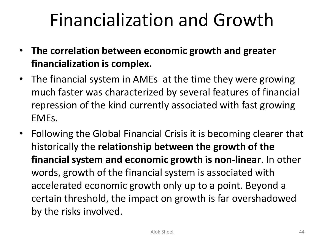# Financialization and Growth

- **The correlation between economic growth and greater financialization is complex.**
- The financial system in AMEs at the time they were growing much faster was characterized by several features of financial repression of the kind currently associated with fast growing EMEs.
- Following the Global Financial Crisis it is becoming clearer that historically the **relationship between the growth of the financial system and economic growth is non-linear**. In other words, growth of the financial system is associated with accelerated economic growth only up to a point. Beyond a certain threshold, the impact on growth is far overshadowed by the risks involved.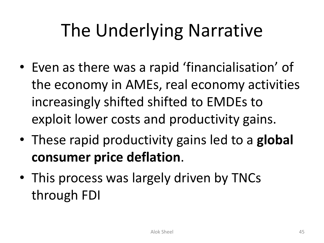# The Underlying Narrative

- Even as there was a rapid 'financialisation' of the economy in AMEs, real economy activities increasingly shifted shifted to EMDEs to exploit lower costs and productivity gains.
- These rapid productivity gains led to a **global consumer price deflation**.
- This process was largely driven by TNCs through FDI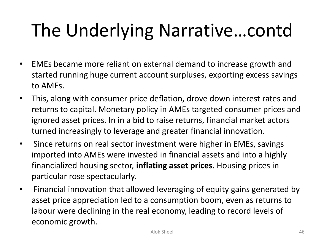# The Underlying Narrative…contd

- EMEs became more reliant on external demand to increase growth and started running huge current account surpluses, exporting excess savings to AMEs.
- This, along with consumer price deflation, drove down interest rates and returns to capital. Monetary policy in AMEs targeted consumer prices and ignored asset prices. In in a bid to raise returns, financial market actors turned increasingly to leverage and greater financial innovation.
- Since returns on real sector investment were higher in EMEs, savings imported into AMEs were invested in financial assets and into a highly financialized housing sector, **inflating asset prices**. Housing prices in particular rose spectacularly.
- Financial innovation that allowed leveraging of equity gains generated by asset price appreciation led to a consumption boom, even as returns to labour were declining in the real economy, leading to record levels of economic growth.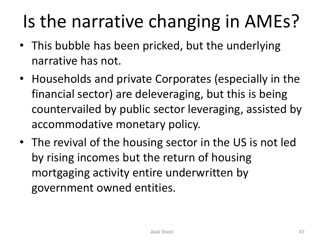# Is the narrative changing in AMEs?

- This bubble has been pricked, but the underlying narrative has not.
- Households and private Corporates (especially in the financial sector) are deleveraging, but this is being countervailed by public sector leveraging, assisted by accommodative monetary policy.
- The revival of the housing sector in the US is not led by rising incomes but the return of housing mortgaging activity entire underwritten by government owned entities.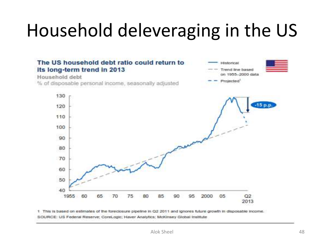# Household deleveraging in the US



1 This is based on estimates of the foreclosure pipeline in Q2 2011 and ignores future growth in disposable income. SOURCE: US Federal Reserve; CoreLogic; Haver Analytics; McKinsey Global Institute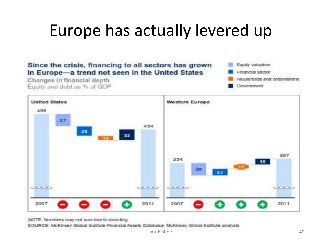### Europe has actually levered up



NOTE: Numbers may not sum due to rounding.

SOURCE: McKinsey Global Institute Financial Assets Database; McKinsey Global Institute analysis

Alok Sheel 49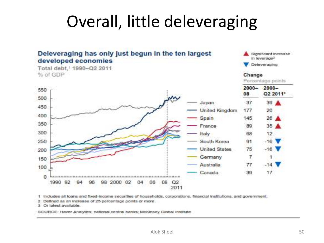### Overall, little deleveraging



1 Includes all loans and fixed-income securities of households, corporations, financial institutions, and government.

2 Defined as an increase of 25 percentage points or more.

3 Or latest available.

SOURCE: Haver Analytics; national central banks; McKinsey Giobal Institute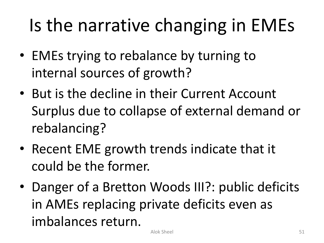# Is the narrative changing in EMEs

- EMEs trying to rebalance by turning to internal sources of growth?
- But is the decline in their Current Account Surplus due to collapse of external demand or rebalancing?
- Recent EME growth trends indicate that it could be the former.
- Danger of a Bretton Woods III?: public deficits in AMEs replacing private deficits even as imbalances return.